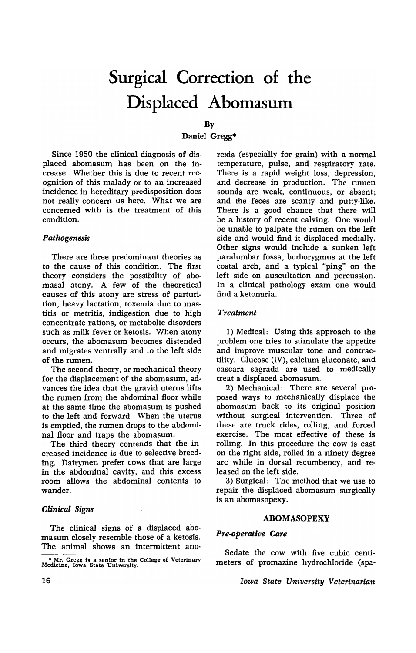# **Surgical Correction of the Displaced Abomasum**

### By

# Daniel Gregg\*

Since 1950 the clinical diagnosis of displaced abomasum has been on the increase. Whether this is due to recent recognition of this malady or to an increased incidence in hereditary predisposition does not really concern us here. What we are concerned with is the treatment of this condition.

# *Pathogenesis*

There are three predominant theories as to the cause of this condition. The first theory considers the possibility of abomasal atony. A few of the theoretical causes of this atony are stress of parturition, heavy lactation, toxemia due to mastitis or metritis, indigestion due to high concentrate rations, or metabolic disorders such as milk fever or ketosis. When atony occurs, the abomasum becomes distended and migrates ventrally and to the left side of the rumen.

The second theory, or mechanical theory for the displacement of the abomasum, advances the idea that the gravid uterus lifts the rumen from the abdominal floor while at the same time the abomasum is pushed to the left and forward. When the uterus is emptied, the rumen drops to the abdominal floor and traps the abomasum.

The third theory contends that the increased incidence is due to selective breeding. Dairymen prefer cows that are large in the abdominal cavity, and this excess room allows the abdominal contents to wander.

#### *Clinical Signs*

The clinical signs of a displaced abomasum closely resemble those of a ketosis. The animal shows an intermittent anorexia (especially for grain) with a normal temperature, pulse, and respiratory rate. There is a rapid weight loss, depression, and decrease in production. The rumen sounds are weak, continuous, or absent; and the feces are scanty and putty-like. There is a good chance that there will be a history of recent calving. One would be unable to palpate the rumen on the left side and would find it displaced medially. Other signs would include a sunken left paralumbar fossa, borborygmus at the left costal arch, and a typical "ping" on the left side on auscultation and percussion. In a clinical pathology exam one would find a ketonuria.

# *Treatment*

1) Medical: Using this approach to the problem one tries to stimulate the appetite and improve muscular tone and contractility. Glucose (IV), calcium gluconate, and cascara sagrada are used to medically treat a displaced abomasum.

2) Mechanical: There are several proposed ways to mechanically displace the abomasum back to its original position without surgical intervention. Three of these are truck rides, rolling, and forced exercise. The most effective of these is rolling. In this procedure the cow is cast on the right side, rolled in a ninety degree arc while in dorsal recumbency, and released on the left side.

3) Surgical: The method that we use to repair the displaced abomasum surgically is an abomasopexy.

### ABOMASOPEXY

#### *Pre-operative Care*

Sedate the cow with five cubic centimeters of promazine hydrochloride (spa-

*Iowa State University Veterinarian* 

<sup>\*</sup> Mr. Gregg is a senior in the College of Veterinary Medicine. Iowa State University.